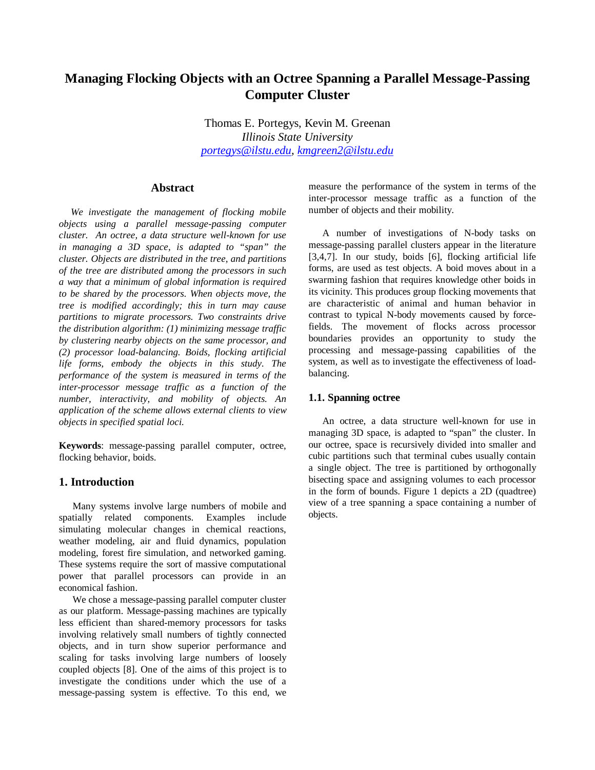# **Managing Flocking Objects with an Octree Spanning a Parallel Message-Passing Computer Cluster**

Thomas E. Portegys, Kevin M. Greenan *Illinois State University portegys@ilstu.edu, kmgreen2@ilstu.edu*

### **Abstract**

*We investigate the management of flocking mobile objects using a parallel message-passing computer cluster. An octree, a data structure well-known for use in managing a 3D space, is adapted to "span" the cluster. Objects are distributed in the tree, and partitions of the tree are distributed among the processors in such a way that a minimum of global information is required to be shared by the processors. When objects move, the tree is modified accordingly; this in turn may cause partitions to migrate processors. Two constraints drive the distribution algorithm: (1) minimizing message traffic by clustering nearby objects on the same processor, and (2) processor load-balancing. Boids, flocking artificial life forms, embody the objects in this study. The performance of the system is measured in terms of the inter-processor message traffic as a function of the number, interactivity, and mobility of objects. An application of the scheme allows external clients to view objects in specified spatial loci.*

**Keywords**: message-passing parallel computer, octree, flocking behavior, boids.

#### **1. Introduction**

Many systems involve large numbers of mobile and spatially related components. Examples include simulating molecular changes in chemical reactions, weather modeling, air and fluid dynamics, population modeling, forest fire simulation, and networked gaming. These systems require the sort of massive computational power that parallel processors can provide in an economical fashion.

We chose a message-passing parallel computer cluster as our platform. Message-passing machines are typically less efficient than shared-memory processors for tasks involving relatively small numbers of tightly connected objects, and in turn show superior performance and scaling for tasks involving large numbers of loosely coupled objects [8]. One of the aims of this project is to investigate the conditions under which the use of a message-passing system is effective. To this end, we

measure the performance of the system in terms of the inter-processor message traffic as a function of the number of objects and their mobility.

A number of investigations of N-body tasks on message-passing parallel clusters appear in the literature [3,4,7]. In our study, boids [6], flocking artificial life forms, are used as test objects. A boid moves about in a swarming fashion that requires knowledge other boids in its vicinity. This produces group flocking movements that are characteristic of animal and human behavior in contrast to typical N-body movements caused by forcefields. The movement of flocks across processor boundaries provides an opportunity to study the processing and message-passing capabilities of the system, as well as to investigate the effectiveness of loadbalancing.

#### **1.1. Spanning octree**

An octree, a data structure well-known for use in managing 3D space, is adapted to "span" the cluster. In our octree, space is recursively divided into smaller and cubic partitions such that terminal cubes usually contain a single object. The tree is partitioned by orthogonally bisecting space and assigning volumes to each processor in the form of bounds. Figure 1 depicts a 2D (quadtree) view of a tree spanning a space containing a number of objects.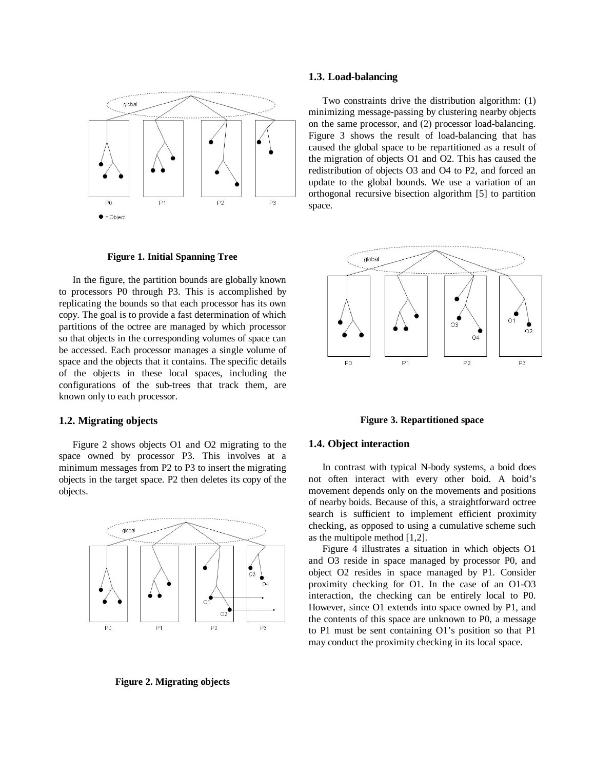

**Figure 1. Initial Spanning Tree**

In the figure, the partition bounds are globally known to processors P0 through P3. This is accomplished by replicating the bounds so that each processor has its own copy. The goal is to provide a fast determination of which partitions of the octree are managed by which processor so that objects in the corresponding volumes of space can be accessed. Each processor manages a single volume of space and the objects that it contains. The specific details of the objects in these local spaces, including the configurations of the sub-trees that track them, are known only to each processor.

#### **1.2. Migrating objects**

Figure 2 shows objects O1 and O2 migrating to the space owned by processor P3. This involves at a minimum messages from P2 to P3 to insert the migrating objects in the target space. P2 then deletes its copy of the objects.



**Figure 2. Migrating objects**

#### **1.3. Load-balancing**

Two constraints drive the distribution algorithm: (1) minimizing message-passing by clustering nearby objects on the same processor, and (2) processor load-balancing. Figure 3 shows the result of load-balancing that has caused the global space to be repartitioned as a result of the migration of objects O1 and O2. This has caused the redistribution of objects O3 and O4 to P2, and forced an update to the global bounds. We use a variation of an orthogonal recursive bisection algorithm [5] to partition space.



**Figure 3. Repartitioned space**

#### **1.4. Object interaction**

In contrast with typical N-body systems, a boid does not often interact with every other boid. A boid's movement depends only on the movements and positions of nearby boids. Because of this, a straightforward octree search is sufficient to implement efficient proximity checking, as opposed to using a cumulative scheme such as the multipole method [1,2].

Figure 4 illustrates a situation in which objects O1 and O3 reside in space managed by processor P0, and object O2 resides in space managed by P1. Consider proximity checking for O1. In the case of an O1-O3 interaction, the checking can be entirely local to P0. However, since O1 extends into space owned by P1, and the contents of this space are unknown to P0, a message to P1 must be sent containing O1's position so that P1 may conduct the proximity checking in its local space.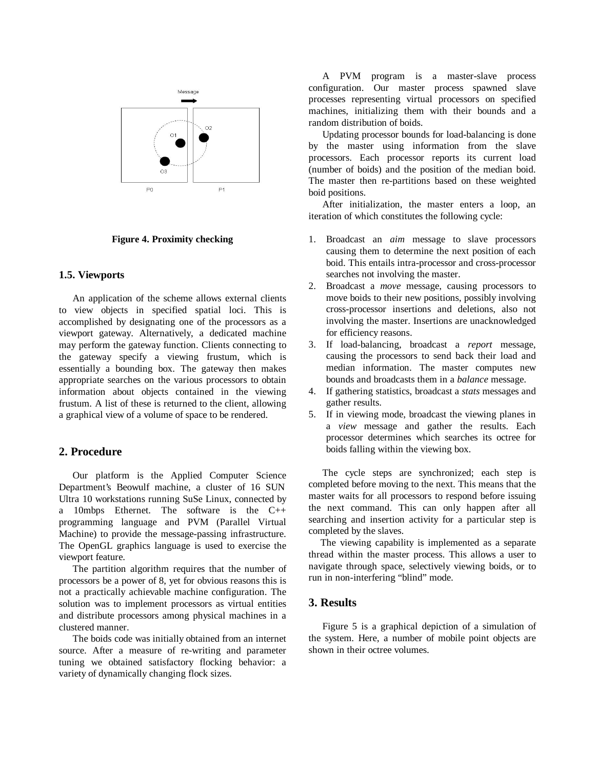

**Figure 4. Proximity checking**

#### **1.5. Viewports**

An application of the scheme allows external clients to view objects in specified spatial loci. This is accomplished by designating one of the processors as a viewport gateway. Alternatively, a dedicated machine may perform the gateway function. Clients connecting to the gateway specify a viewing frustum, which is essentially a bounding box. The gateway then makes appropriate searches on the various processors to obtain information about objects contained in the viewing frustum. A list of these is returned to the client, allowing a graphical view of a volume of space to be rendered.

## **2. Procedure**

Our platform is the Applied Computer Science Department's Beowulf machine, a cluster of 16 SUN Ultra 10 workstations running SuSe Linux, connected by a 10mbps Ethernet. The software is the C++ programming language and PVM (Parallel Virtual Machine) to provide the message-passing infrastructure. The OpenGL graphics language is used to exercise the viewport feature.

The partition algorithm requires that the number of processors be a power of 8, yet for obvious reasons this is not a practically achievable machine configuration. The solution was to implement processors as virtual entities and distribute processors among physical machines in a clustered manner.

The boids code was initially obtained from an internet source. After a measure of re-writing and parameter tuning we obtained satisfactory flocking behavior: a variety of dynamically changing flock sizes.

A PVM program is a master-slave process configuration. Our master process spawned slave processes representing virtual processors on specified machines, initializing them with their bounds and a random distribution of boids.

Updating processor bounds for load-balancing is done by the master using information from the slave processors. Each processor reports its current load (number of boids) and the position of the median boid. The master then re-partitions based on these weighted boid positions.

After initialization, the master enters a loop, an iteration of which constitutes the following cycle:

- 1. Broadcast an *aim* message to slave processors causing them to determine the next position of each boid. This entails intra-processor and cross-processor searches not involving the master.
- 2. Broadcast a *move* message, causing processors to move boids to their new positions, possibly involving cross-processor insertions and deletions, also not involving the master. Insertions are unacknowledged for efficiency reasons.
- 3. If load-balancing, broadcast a *report* message, causing the processors to send back their load and median information. The master computes new bounds and broadcasts them in a *balance* message.
- 4. If gathering statistics, broadcast a *stats* messages and gather results.
- 5. If in viewing mode, broadcast the viewing planes in a *view* message and gather the results. Each processor determines which searches its octree for boids falling within the viewing box.

The cycle steps are synchronized; each step is completed before moving to the next. This means that the master waits for all processors to respond before issuing the next command. This can only happen after all searching and insertion activity for a particular step is completed by the slaves.

The viewing capability is implemented as a separate thread within the master process. This allows a user to navigate through space, selectively viewing boids, or to run in non-interfering "blind" mode.

#### **3. Results**

Figure 5 is a graphical depiction of a simulation of the system. Here, a number of mobile point objects are shown in their octree volumes.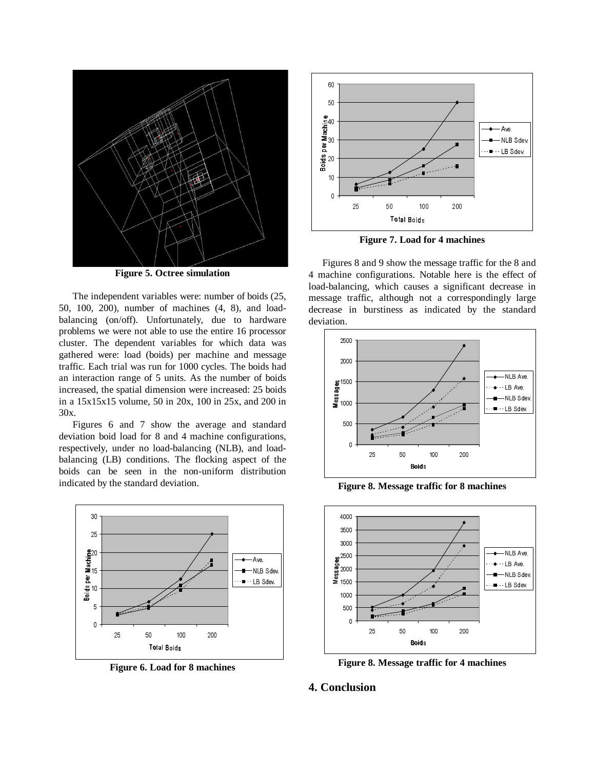

**Figure 5. Octree simulation**

The independent variables were: number of boids (25, 50, 100, 200), number of machines (4, 8), and loadbalancing (on/off). Unfortunately, due to hardware problems we were not able to use the entire 16 processor cluster. The dependent variables for which data was gathered were: load (boids) per machine and message traffic. Each trial was run for 1000 cycles. The boids had an interaction range of 5 units. As the number of boids increased, the spatial dimension were increased: 25 boids in a 15x15x15 volume, 50 in 20x, 100 in 25x, and 200 in 30x.

Figures 6 and 7 show the average and standard deviation boid load for 8 and 4 machine configurations, respectively, under no load-balancing (NLB), and loadbalancing (LB) conditions. The flocking aspect of the boids can be seen in the non-uniform distribution indicated by the standard deviation.



**Figure 6. Load for 8 machines**



**Figure 7. Load for 4 machines**

Figures 8 and 9 show the message traffic for the 8 and 4 machine configurations. Notable here is the effect of load-balancing, which causes a significant decrease in message traffic, although not a correspondingly large decrease in burstiness as indicated by the standard deviation.



**Figure 8. Message traffic for 8 machines**



**Figure 8. Message traffic for 4 machines**

## **4. Conclusion**